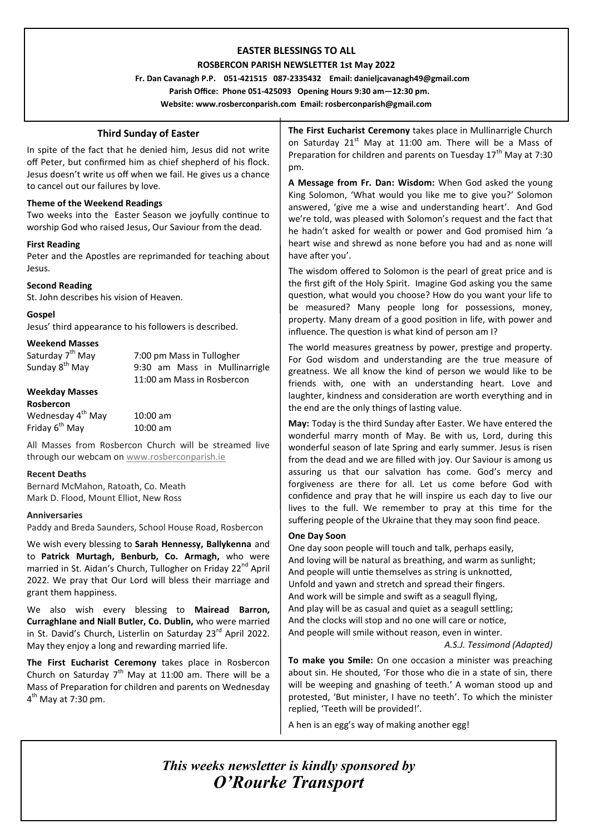# **EASTER BLESSINGS TO ALL**

## **ROSBERCON PARISH NEWSLETTER 1st May 2022**

 **Fr. Dan Cavanagh P.P. 051-421515 087-2335432 Email: danieljcavanagh49@gmail.com**

 **Parish Office: Phone 051-425093****Opening Hours 9:30 am—12:30 pm.**

**Website: www.rosberconparish.com Email: rosberconparish@gmail.com**

# **Third Sunday of Easter**

In spite of the fact that he denied him, Jesus did not write off Peter, but confirmed him as chief shepherd of his flock. Jesus doesn't write us off when we fail. He gives us a chance to cancel out our failures by love.

## **Theme of the Weekend Readings**

Two weeks into the Easter Season we joyfully continue to worship God who raised Jesus, Our Saviour from the dead.

## **First Reading**

Peter and the Apostles are reprimanded for teaching about Jesus.

## **Second Reading**

St. John describes his vision of Heaven.

## **Gospel**

Jesus' third appearance to his followers is described.

# **Weekend Masses**

| Saturday 7 <sup>th</sup> May | 7:00 pm Mass in Tullogher     |
|------------------------------|-------------------------------|
| Sunday 8 <sup>th</sup> May   | 9:30 am Mass in Mullinarrigle |
|                              | 11:00 am Mass in Rosbercon    |
| <b>Weekday Masses</b>        |                               |
|                              |                               |

## **Rosbercon**

Wednesday  $4^{th}$  May  $10:00$  am Friday  $6^{th}$  May  $10:00$  am

All Masses from Rosbercon Church will be streamed live through our webcam on [www.rosberconparish.ie](http://www.rosberconparish.ie/)

## **Recent Deaths**

Bernard McMahon, Ratoath, Co. Meath Mark D. Flood, Mount Elliot, New Ross

#### **Anniversaries**

Paddy and Breda Saunders, School House Road, Rosbercon

We wish every blessing to **Sarah Hennessy, Ballykenna** and to **Patrick Murtagh, Benburb, Co. Armagh,** who were married in St. Aidan's Church, Tullogher on Friday 22<sup>nd</sup> April 2022. We pray that Our Lord will bless their marriage and grant them happiness.

We also wish every blessing to **Mairead Barron, Curraghlane and Niall Butler, Co. Dublin,** who were married in St. David's Church, Listerlin on Saturday 23<sup>rd</sup> April 2022. May they enjoy a long and rewarding married life.

**The First Eucharist Ceremony** takes place in Rosbercon Church on Saturday  $7<sup>th</sup>$  May at 11:00 am. There will be a Mass of Preparation for children and parents on Wednesday 4<sup>th</sup> May at 7:30 pm.

**The First Eucharist Ceremony** takes place in Mullinarrigle Church on Saturday  $21^{st}$  May at 11:00 am. There will be a Mass of Preparation for children and parents on Tuesday  $17<sup>th</sup>$  May at 7:30 pm.

**A Message from Fr. Dan: Wisdom:** When God asked the young King Solomon, 'What would you like me to give you?' Solomon answered, 'give me a wise and understanding heart'. And God we're told, was pleased with Solomon's request and the fact that he hadn't asked for wealth or power and God promised him 'a heart wise and shrewd as none before you had and as none will have after you'.

The wisdom offered to Solomon is the pearl of great price and is the first gift of the Holy Spirit. Imagine God asking you the same question, what would you choose? How do you want your life to be measured? Many people long for possessions, money, property. Many dream of a good position in life, with power and influence. The question is what kind of person am I?

The world measures greatness by power, prestige and property. For God wisdom and understanding are the true measure of greatness. We all know the kind of person we would like to be friends with, one with an understanding heart. Love and laughter, kindness and consideration are worth everything and in the end are the only things of lasting value.

**May:** Today is the third Sunday after Easter. We have entered the wonderful marry month of May. Be with us, Lord, during this wonderful season of late Spring and early summer. Jesus is risen from the dead and we are filled with joy. Our Saviour is among us assuring us that our salvation has come. God's mercy and forgiveness are there for all. Let us come before God with confidence and pray that he will inspire us each day to live our lives to the full. We remember to pray at this time for the suffering people of the Ukraine that they may soon find peace.

## **One Day Soon**

One day soon people will touch and talk, perhaps easily, And loving will be natural as breathing, and warm as sunlight; And people will untie themselves as string is unknotted, Unfold and yawn and stretch and spread their fingers. And work will be simple and swift as a seagull flying, And play will be as casual and quiet as a seagull settling; And the clocks will stop and no one will care or notice, And people will smile without reason, even in winter.

*A.S.J. Tessimond (Adapted)*

**To make you Smile:** On one occasion a minister was preaching about sin. He shouted, 'For those who die in a state of sin, there will be weeping and gnashing of teeth.' A woman stood up and protested, 'But minister, I have no teeth'. To which the minister replied, 'Teeth will be provided!'.

A hen is an egg's way of making another egg!

*This weeks newsletter is kindly sponsored by O'Rourke Transport*